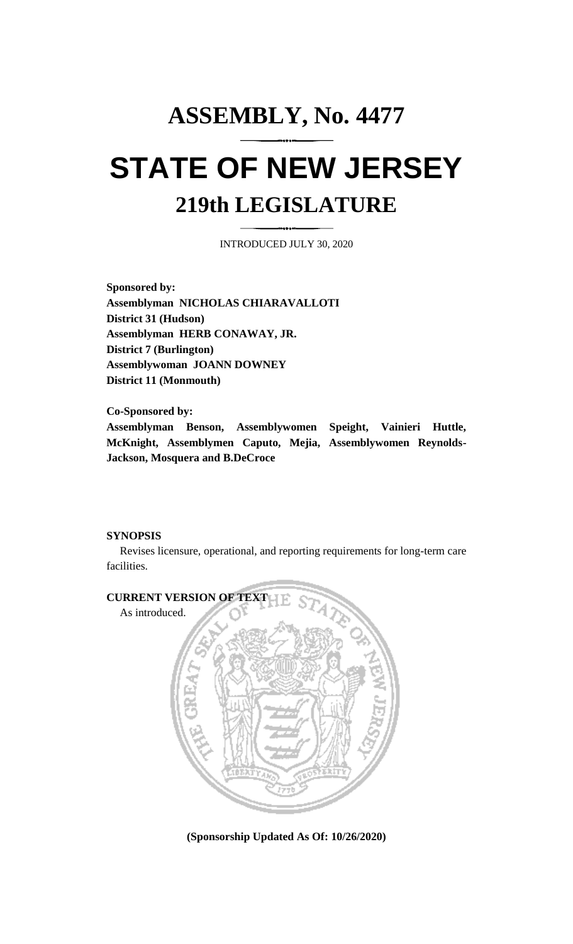# **ASSEMBLY, No. 4477 STATE OF NEW JERSEY 219th LEGISLATURE**

INTRODUCED JULY 30, 2020

**Sponsored by: Assemblyman NICHOLAS CHIARAVALLOTI District 31 (Hudson) Assemblyman HERB CONAWAY, JR. District 7 (Burlington) Assemblywoman JOANN DOWNEY District 11 (Monmouth)**

**Co-Sponsored by: Assemblyman Benson, Assemblywomen Speight, Vainieri Huttle, McKnight, Assemblymen Caputo, Mejia, Assemblywomen Reynolds-Jackson, Mosquera and B.DeCroce**

### **SYNOPSIS**

Revises licensure, operational, and reporting requirements for long-term care facilities.



**(Sponsorship Updated As Of: 10/26/2020)**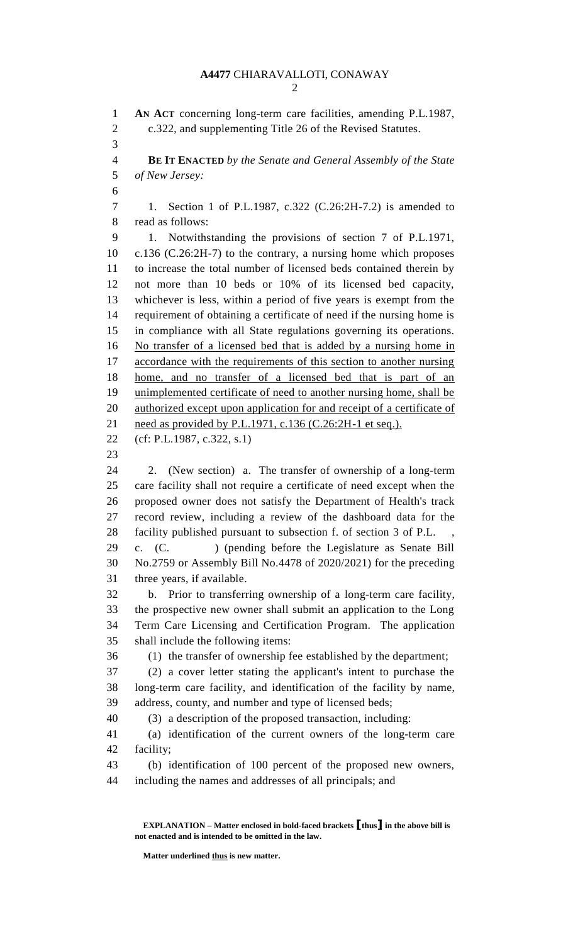**AN ACT** concerning long-term care facilities, amending P.L.1987, c.322, and supplementing Title 26 of the Revised Statutes. **BE IT ENACTED** *by the Senate and General Assembly of the State of New Jersey:* 1. Section 1 of P.L.1987, c.322 (C.26:2H-7.2) is amended to read as follows: 1. Notwithstanding the provisions of section 7 of P.L.1971, c.136 (C.26:2H-7) to the contrary, a nursing home which proposes to increase the total number of licensed beds contained therein by not more than 10 beds or 10% of its licensed bed capacity, whichever is less, within a period of five years is exempt from the requirement of obtaining a certificate of need if the nursing home is in compliance with all State regulations governing its operations. No transfer of a licensed bed that is added by a nursing home in accordance with the requirements of this section to another nursing home, and no transfer of a licensed bed that is part of an unimplemented certificate of need to another nursing home, shall be 20 authorized except upon application for and receipt of a certificate of 21 need as provided by P.L.1971, c.136 (C.26:2H-1 et seq.). (cf: P.L.1987, c.322, s.1) 2. (New section) a. The transfer of ownership of a long-term care facility shall not require a certificate of need except when the proposed owner does not satisfy the Department of Health's track record review, including a review of the dashboard data for the 28 facility published pursuant to subsection f. of section 3 of P.L. c. (C. ) (pending before the Legislature as Senate Bill No.2759 or Assembly Bill No.4478 of 2020/2021) for the preceding three years, if available. b. Prior to transferring ownership of a long-term care facility, the prospective new owner shall submit an application to the Long Term Care Licensing and Certification Program. The application shall include the following items: (1) the transfer of ownership fee established by the department; (2) a cover letter stating the applicant's intent to purchase the long-term care facility, and identification of the facility by name, address, county, and number and type of licensed beds; (3) a description of the proposed transaction, including: (a) identification of the current owners of the long-term care facility; (b) identification of 100 percent of the proposed new owners, including the names and addresses of all principals; and

**EXPLANATION – Matter enclosed in bold-faced brackets [thus] in the above bill is not enacted and is intended to be omitted in the law.**

**Matter underlined thus is new matter.**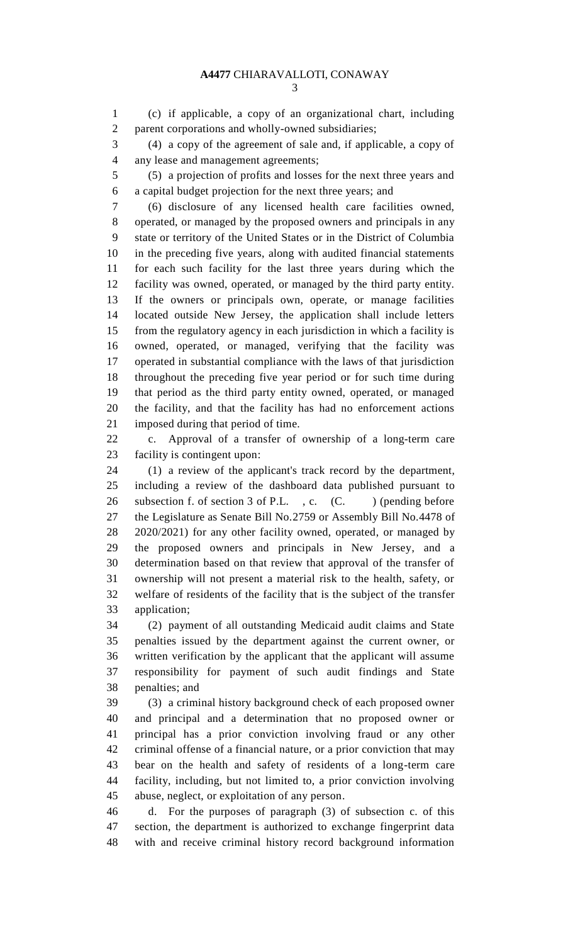(c) if applicable, a copy of an organizational chart, including parent corporations and wholly-owned subsidiaries;

 (4) a copy of the agreement of sale and, if applicable, a copy of any lease and management agreements;

 (5) a projection of profits and losses for the next three years and a capital budget projection for the next three years; and

 (6) disclosure of any licensed health care facilities owned, operated, or managed by the proposed owners and principals in any state or territory of the United States or in the District of Columbia in the preceding five years, along with audited financial statements for each such facility for the last three years during which the facility was owned, operated, or managed by the third party entity. If the owners or principals own, operate, or manage facilities located outside New Jersey, the application shall include letters from the regulatory agency in each jurisdiction in which a facility is owned, operated, or managed, verifying that the facility was operated in substantial compliance with the laws of that jurisdiction throughout the preceding five year period or for such time during that period as the third party entity owned, operated, or managed the facility, and that the facility has had no enforcement actions imposed during that period of time.

 c. Approval of a transfer of ownership of a long-term care facility is contingent upon:

 (1) a review of the applicant's track record by the department, including a review of the dashboard data published pursuant to 26 subsection f. of section 3 of P.L., c. (C. ) (pending before the Legislature as Senate Bill No.2759 or Assembly Bill No.4478 of 2020/2021) for any other facility owned, operated, or managed by the proposed owners and principals in New Jersey, and a determination based on that review that approval of the transfer of ownership will not present a material risk to the health, safety, or welfare of residents of the facility that is the subject of the transfer application;

 (2) payment of all outstanding Medicaid audit claims and State penalties issued by the department against the current owner, or written verification by the applicant that the applicant will assume responsibility for payment of such audit findings and State penalties; and

 (3) a criminal history background check of each proposed owner and principal and a determination that no proposed owner or principal has a prior conviction involving fraud or any other criminal offense of a financial nature, or a prior conviction that may bear on the health and safety of residents of a long-term care facility, including, but not limited to, a prior conviction involving abuse, neglect, or exploitation of any person.

 d. For the purposes of paragraph (3) of subsection c. of this section, the department is authorized to exchange fingerprint data with and receive criminal history record background information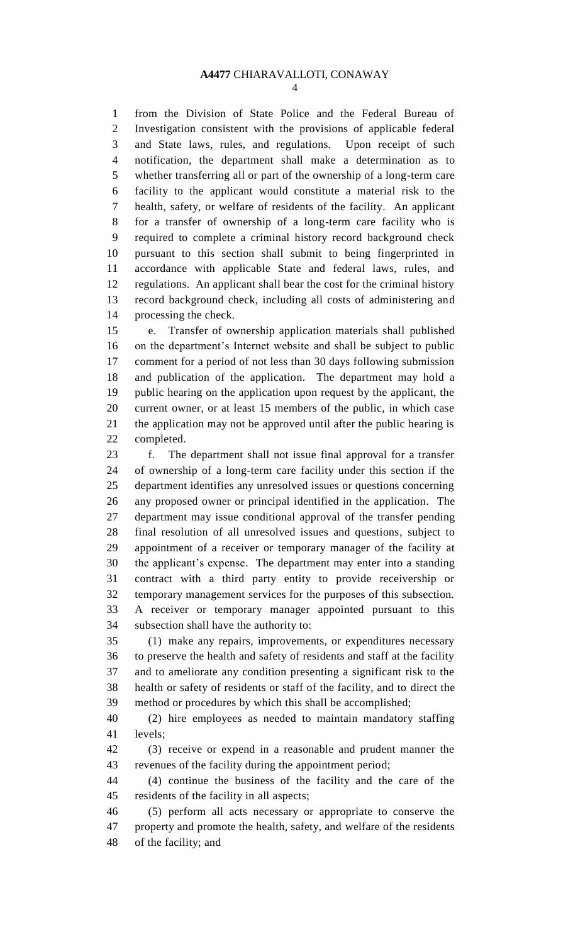from the Division of State Police and the Federal Bureau of Investigation consistent with the provisions of applicable federal and State laws, rules, and regulations. Upon receipt of such notification, the department shall make a determination as to whether transferring all or part of the ownership of a long-term care facility to the applicant would constitute a material risk to the health, safety, or welfare of residents of the facility. An applicant for a transfer of ownership of a long-term care facility who is required to complete a criminal history record background check pursuant to this section shall submit to being fingerprinted in accordance with applicable State and federal laws, rules, and regulations. An applicant shall bear the cost for the criminal history record background check, including all costs of administering and processing the check.

 e. Transfer of ownership application materials shall published on the department's Internet website and shall be subject to public comment for a period of not less than 30 days following submission and publication of the application. The department may hold a public hearing on the application upon request by the applicant, the current owner, or at least 15 members of the public, in which case the application may not be approved until after the public hearing is completed.

 f. The department shall not issue final approval for a transfer of ownership of a long-term care facility under this section if the department identifies any unresolved issues or questions concerning any proposed owner or principal identified in the application. The department may issue conditional approval of the transfer pending final resolution of all unresolved issues and questions, subject to appointment of a receiver or temporary manager of the facility at the applicant's expense. The department may enter into a standing contract with a third party entity to provide receivership or temporary management services for the purposes of this subsection. A receiver or temporary manager appointed pursuant to this subsection shall have the authority to:

 (1) make any repairs, improvements, or expenditures necessary to preserve the health and safety of residents and staff at the facility and to ameliorate any condition presenting a significant risk to the health or safety of residents or staff of the facility, and to direct the method or procedures by which this shall be accomplished;

 (2) hire employees as needed to maintain mandatory staffing levels;

 (3) receive or expend in a reasonable and prudent manner the revenues of the facility during the appointment period;

 (4) continue the business of the facility and the care of the residents of the facility in all aspects;

 (5) perform all acts necessary or appropriate to conserve the property and promote the health, safety, and welfare of the residents of the facility; and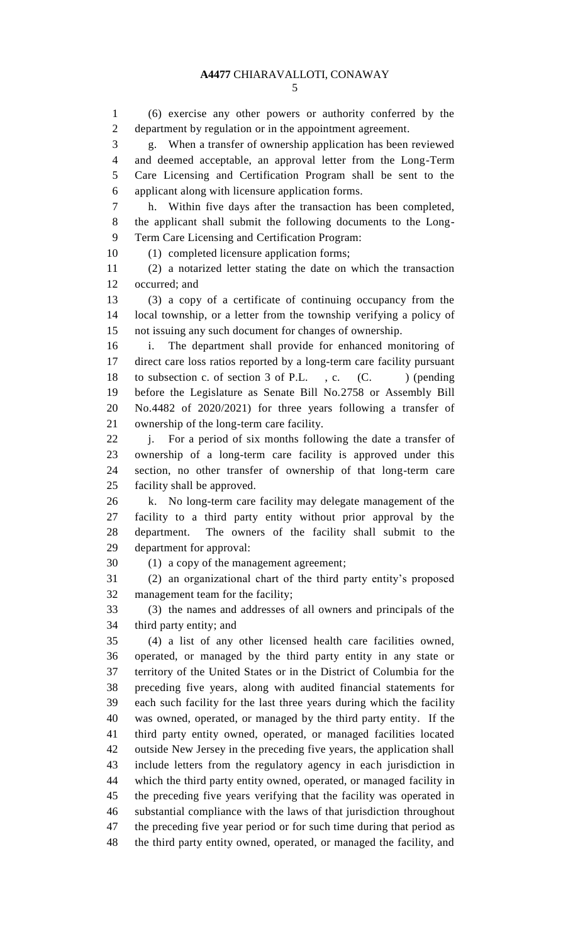(6) exercise any other powers or authority conferred by the department by regulation or in the appointment agreement. g. When a transfer of ownership application has been reviewed and deemed acceptable, an approval letter from the Long-Term Care Licensing and Certification Program shall be sent to the applicant along with licensure application forms. h. Within five days after the transaction has been completed, the applicant shall submit the following documents to the Long- Term Care Licensing and Certification Program: (1) completed licensure application forms; (2) a notarized letter stating the date on which the transaction occurred; and (3) a copy of a certificate of continuing occupancy from the local township, or a letter from the township verifying a policy of not issuing any such document for changes of ownership. i. The department shall provide for enhanced monitoring of direct care loss ratios reported by a long-term care facility pursuant 18 to subsection c. of section 3 of P.L., c. (C.) (pending before the Legislature as Senate Bill No.2758 or Assembly Bill No.4482 of 2020/2021) for three years following a transfer of ownership of the long-term care facility. j. For a period of six months following the date a transfer of ownership of a long-term care facility is approved under this section, no other transfer of ownership of that long-term care facility shall be approved. k. No long-term care facility may delegate management of the facility to a third party entity without prior approval by the department. The owners of the facility shall submit to the department for approval: (1) a copy of the management agreement; (2) an organizational chart of the third party entity's proposed management team for the facility; (3) the names and addresses of all owners and principals of the third party entity; and (4) a list of any other licensed health care facilities owned, operated, or managed by the third party entity in any state or territory of the United States or in the District of Columbia for the preceding five years, along with audited financial statements for each such facility for the last three years during which the facility was owned, operated, or managed by the third party entity. If the third party entity owned, operated, or managed facilities located outside New Jersey in the preceding five years, the application shall include letters from the regulatory agency in each jurisdiction in which the third party entity owned, operated, or managed facility in the preceding five years verifying that the facility was operated in substantial compliance with the laws of that jurisdiction throughout the preceding five year period or for such time during that period as the third party entity owned, operated, or managed the facility, and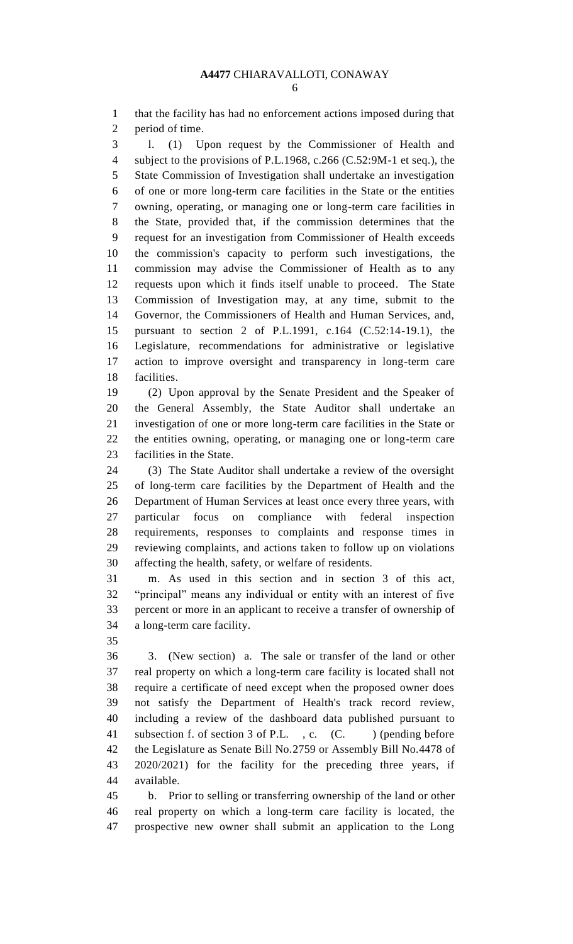that the facility has had no enforcement actions imposed during that period of time.

 l. (1) Upon request by the Commissioner of Health and subject to the provisions of P.L.1968, c.266 (C.52:9M-1 et seq.), the State Commission of Investigation shall undertake an investigation of one or more long-term care facilities in the State or the entities owning, operating, or managing one or long-term care facilities in the State, provided that, if the commission determines that the request for an investigation from Commissioner of Health exceeds the commission's capacity to perform such investigations, the commission may advise the Commissioner of Health as to any requests upon which it finds itself unable to proceed. The State Commission of Investigation may, at any time, submit to the Governor, the Commissioners of Health and Human Services, and, pursuant to section 2 of P.L.1991, c.164 (C.52:14-19.1), the Legislature, recommendations for administrative or legislative action to improve oversight and transparency in long-term care facilities.

 (2) Upon approval by the Senate President and the Speaker of the General Assembly, the State Auditor shall undertake an investigation of one or more long-term care facilities in the State or the entities owning, operating, or managing one or long-term care facilities in the State.

 (3) The State Auditor shall undertake a review of the oversight of long-term care facilities by the Department of Health and the Department of Human Services at least once every three years, with particular focus on compliance with federal inspection requirements, responses to complaints and response times in reviewing complaints, and actions taken to follow up on violations affecting the health, safety, or welfare of residents.

 m. As used in this section and in section 3 of this act, "principal" means any individual or entity with an interest of five percent or more in an applicant to receive a transfer of ownership of a long-term care facility.

 3. (New section) a. The sale or transfer of the land or other real property on which a long-term care facility is located shall not require a certificate of need except when the proposed owner does not satisfy the Department of Health's track record review, including a review of the dashboard data published pursuant to 41 subsection f. of section 3 of P.L., c. (C. ) (pending before the Legislature as Senate Bill No.2759 or Assembly Bill No.4478 of 2020/2021) for the facility for the preceding three years, if available.

 b. Prior to selling or transferring ownership of the land or other real property on which a long-term care facility is located, the prospective new owner shall submit an application to the Long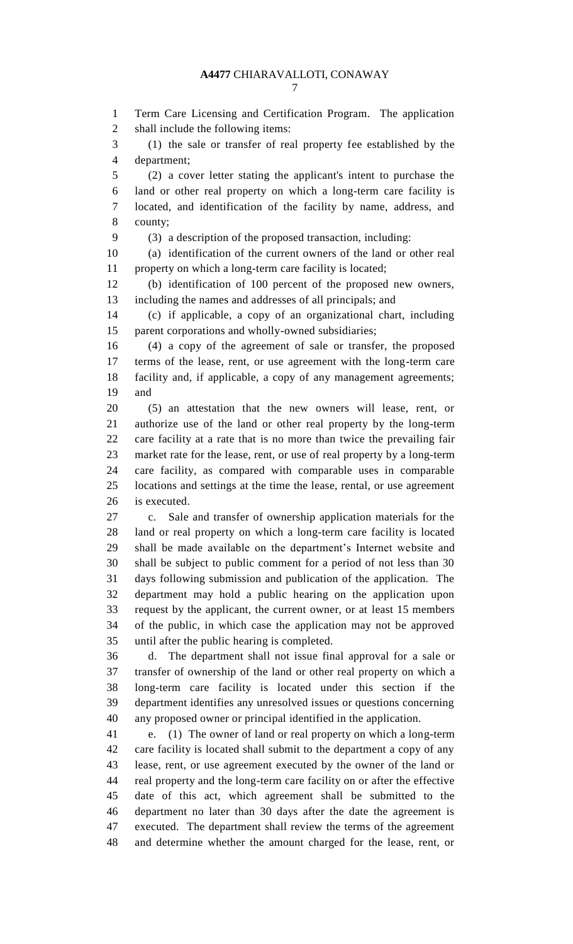Term Care Licensing and Certification Program. The application shall include the following items:

 (1) the sale or transfer of real property fee established by the department;

 (2) a cover letter stating the applicant's intent to purchase the land or other real property on which a long-term care facility is located, and identification of the facility by name, address, and county;

(3) a description of the proposed transaction, including:

 (a) identification of the current owners of the land or other real property on which a long-term care facility is located;

 (b) identification of 100 percent of the proposed new owners, including the names and addresses of all principals; and

 (c) if applicable, a copy of an organizational chart, including parent corporations and wholly-owned subsidiaries;

 (4) a copy of the agreement of sale or transfer, the proposed terms of the lease, rent, or use agreement with the long-term care facility and, if applicable, a copy of any management agreements; and

 (5) an attestation that the new owners will lease, rent, or authorize use of the land or other real property by the long-term care facility at a rate that is no more than twice the prevailing fair market rate for the lease, rent, or use of real property by a long-term care facility, as compared with comparable uses in comparable locations and settings at the time the lease, rental, or use agreement is executed.

 c. Sale and transfer of ownership application materials for the land or real property on which a long-term care facility is located shall be made available on the department's Internet website and shall be subject to public comment for a period of not less than 30 days following submission and publication of the application. The department may hold a public hearing on the application upon request by the applicant, the current owner, or at least 15 members of the public, in which case the application may not be approved until after the public hearing is completed.

 d. The department shall not issue final approval for a sale or transfer of ownership of the land or other real property on which a long-term care facility is located under this section if the department identifies any unresolved issues or questions concerning any proposed owner or principal identified in the application.

 e. (1) The owner of land or real property on which a long-term care facility is located shall submit to the department a copy of any lease, rent, or use agreement executed by the owner of the land or real property and the long-term care facility on or after the effective date of this act, which agreement shall be submitted to the department no later than 30 days after the date the agreement is executed. The department shall review the terms of the agreement and determine whether the amount charged for the lease, rent, or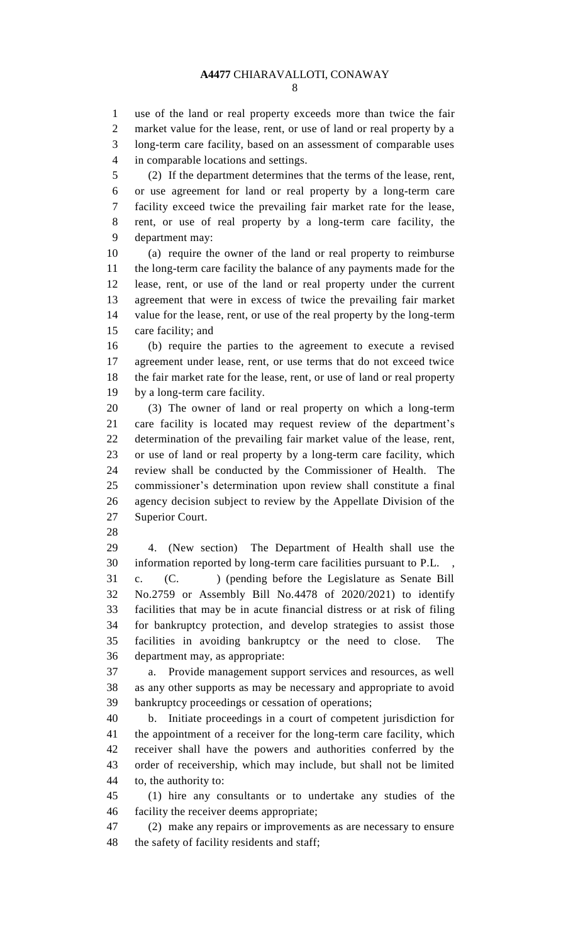use of the land or real property exceeds more than twice the fair market value for the lease, rent, or use of land or real property by a long-term care facility, based on an assessment of comparable uses in comparable locations and settings.

 (2) If the department determines that the terms of the lease, rent, or use agreement for land or real property by a long-term care facility exceed twice the prevailing fair market rate for the lease, rent, or use of real property by a long-term care facility, the department may:

 (a) require the owner of the land or real property to reimburse the long-term care facility the balance of any payments made for the lease, rent, or use of the land or real property under the current agreement that were in excess of twice the prevailing fair market value for the lease, rent, or use of the real property by the long-term care facility; and

 (b) require the parties to the agreement to execute a revised agreement under lease, rent, or use terms that do not exceed twice the fair market rate for the lease, rent, or use of land or real property by a long-term care facility.

 (3) The owner of land or real property on which a long-term care facility is located may request review of the department's determination of the prevailing fair market value of the lease, rent, or use of land or real property by a long-term care facility, which review shall be conducted by the Commissioner of Health. The commissioner's determination upon review shall constitute a final agency decision subject to review by the Appellate Division of the Superior Court.

 4. (New section) The Department of Health shall use the information reported by long-term care facilities pursuant to P.L. , c. (C. ) (pending before the Legislature as Senate Bill No.2759 or Assembly Bill No.4478 of 2020/2021) to identify facilities that may be in acute financial distress or at risk of filing for bankruptcy protection, and develop strategies to assist those facilities in avoiding bankruptcy or the need to close. The department may, as appropriate:

 a. Provide management support services and resources, as well as any other supports as may be necessary and appropriate to avoid bankruptcy proceedings or cessation of operations;

 b. Initiate proceedings in a court of competent jurisdiction for the appointment of a receiver for the long-term care facility, which receiver shall have the powers and authorities conferred by the order of receivership, which may include, but shall not be limited to, the authority to:

 (1) hire any consultants or to undertake any studies of the facility the receiver deems appropriate;

 (2) make any repairs or improvements as are necessary to ensure the safety of facility residents and staff;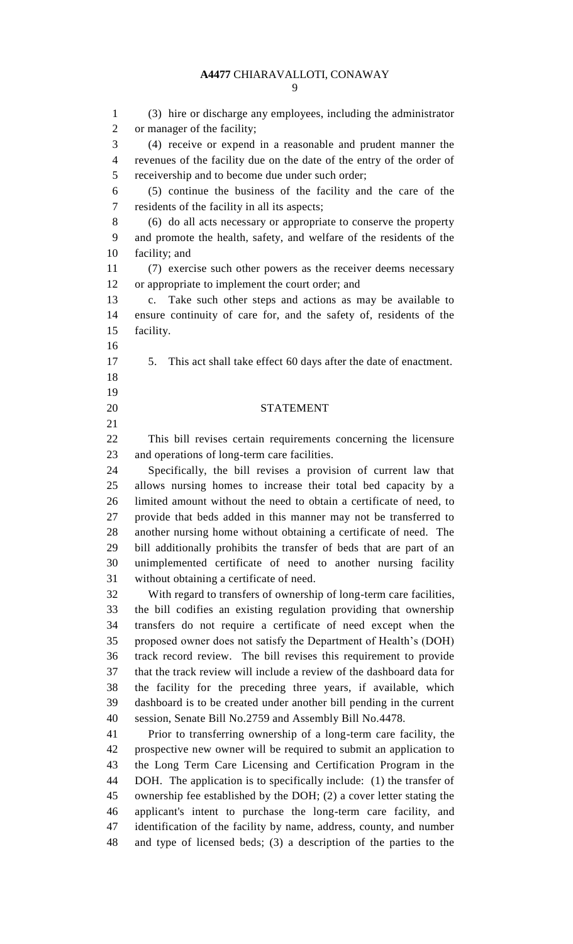(3) hire or discharge any employees, including the administrator or manager of the facility; (4) receive or expend in a reasonable and prudent manner the revenues of the facility due on the date of the entry of the order of receivership and to become due under such order; (5) continue the business of the facility and the care of the residents of the facility in all its aspects; (6) do all acts necessary or appropriate to conserve the property and promote the health, safety, and welfare of the residents of the facility; and (7) exercise such other powers as the receiver deems necessary or appropriate to implement the court order; and c. Take such other steps and actions as may be available to ensure continuity of care for, and the safety of, residents of the facility. 5. This act shall take effect 60 days after the date of enactment. STATEMENT This bill revises certain requirements concerning the licensure and operations of long-term care facilities. Specifically, the bill revises a provision of current law that allows nursing homes to increase their total bed capacity by a limited amount without the need to obtain a certificate of need, to provide that beds added in this manner may not be transferred to another nursing home without obtaining a certificate of need. The bill additionally prohibits the transfer of beds that are part of an unimplemented certificate of need to another nursing facility without obtaining a certificate of need. With regard to transfers of ownership of long-term care facilities, the bill codifies an existing regulation providing that ownership transfers do not require a certificate of need except when the proposed owner does not satisfy the Department of Health's (DOH) track record review. The bill revises this requirement to provide that the track review will include a review of the dashboard data for the facility for the preceding three years, if available, which dashboard is to be created under another bill pending in the current session, Senate Bill No.2759 and Assembly Bill No.4478. Prior to transferring ownership of a long-term care facility, the prospective new owner will be required to submit an application to the Long Term Care Licensing and Certification Program in the DOH. The application is to specifically include: (1) the transfer of ownership fee established by the DOH; (2) a cover letter stating the applicant's intent to purchase the long-term care facility, and identification of the facility by name, address, county, and number and type of licensed beds; (3) a description of the parties to the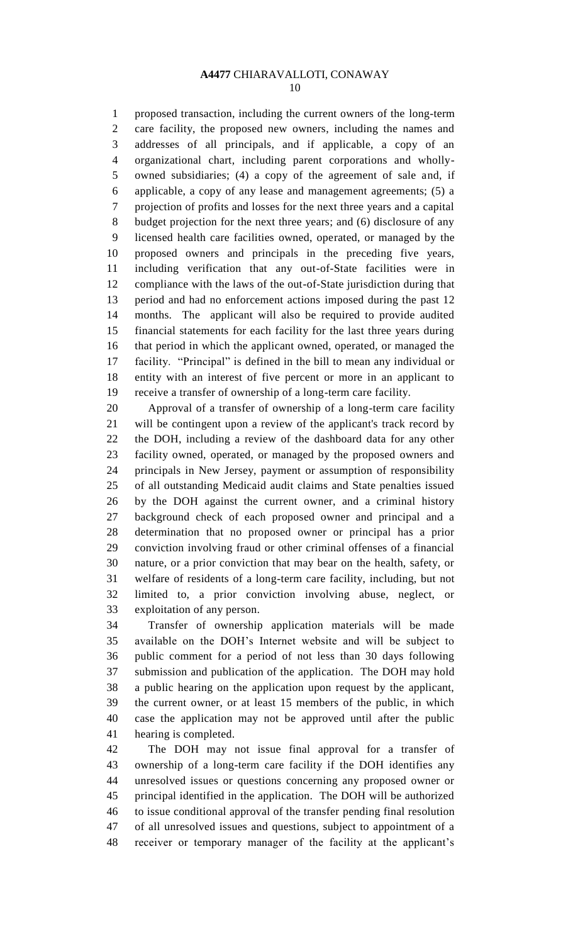proposed transaction, including the current owners of the long-term care facility, the proposed new owners, including the names and addresses of all principals, and if applicable, a copy of an organizational chart, including parent corporations and wholly- owned subsidiaries; (4) a copy of the agreement of sale and, if applicable, a copy of any lease and management agreements; (5) a projection of profits and losses for the next three years and a capital budget projection for the next three years; and (6) disclosure of any licensed health care facilities owned, operated, or managed by the proposed owners and principals in the preceding five years, including verification that any out-of-State facilities were in compliance with the laws of the out-of-State jurisdiction during that period and had no enforcement actions imposed during the past 12 months. The applicant will also be required to provide audited financial statements for each facility for the last three years during that period in which the applicant owned, operated, or managed the facility. "Principal" is defined in the bill to mean any individual or entity with an interest of five percent or more in an applicant to receive a transfer of ownership of a long-term care facility.

 Approval of a transfer of ownership of a long-term care facility will be contingent upon a review of the applicant's track record by the DOH, including a review of the dashboard data for any other facility owned, operated, or managed by the proposed owners and principals in New Jersey, payment or assumption of responsibility of all outstanding Medicaid audit claims and State penalties issued by the DOH against the current owner, and a criminal history background check of each proposed owner and principal and a determination that no proposed owner or principal has a prior conviction involving fraud or other criminal offenses of a financial nature, or a prior conviction that may bear on the health, safety, or welfare of residents of a long-term care facility, including, but not limited to, a prior conviction involving abuse, neglect, or exploitation of any person.

 Transfer of ownership application materials will be made available on the DOH's Internet website and will be subject to public comment for a period of not less than 30 days following submission and publication of the application. The DOH may hold a public hearing on the application upon request by the applicant, the current owner, or at least 15 members of the public, in which case the application may not be approved until after the public hearing is completed.

 The DOH may not issue final approval for a transfer of ownership of a long-term care facility if the DOH identifies any unresolved issues or questions concerning any proposed owner or principal identified in the application. The DOH will be authorized to issue conditional approval of the transfer pending final resolution of all unresolved issues and questions, subject to appointment of a receiver or temporary manager of the facility at the applicant's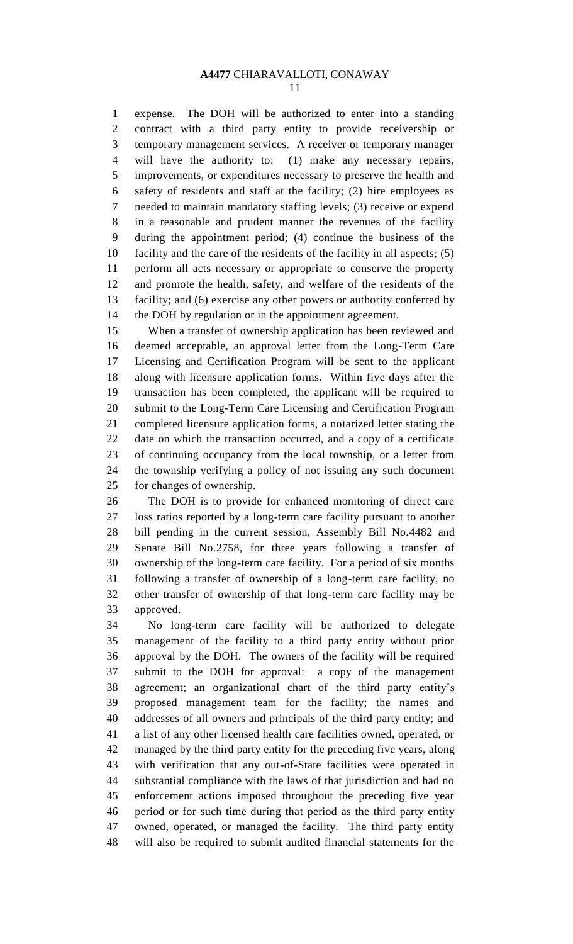expense. The DOH will be authorized to enter into a standing contract with a third party entity to provide receivership or temporary management services. A receiver or temporary manager will have the authority to: (1) make any necessary repairs, improvements, or expenditures necessary to preserve the health and safety of residents and staff at the facility; (2) hire employees as needed to maintain mandatory staffing levels; (3) receive or expend in a reasonable and prudent manner the revenues of the facility during the appointment period; (4) continue the business of the facility and the care of the residents of the facility in all aspects; (5) perform all acts necessary or appropriate to conserve the property and promote the health, safety, and welfare of the residents of the facility; and (6) exercise any other powers or authority conferred by the DOH by regulation or in the appointment agreement.

 When a transfer of ownership application has been reviewed and deemed acceptable, an approval letter from the Long-Term Care Licensing and Certification Program will be sent to the applicant along with licensure application forms. Within five days after the transaction has been completed, the applicant will be required to submit to the Long-Term Care Licensing and Certification Program completed licensure application forms, a notarized letter stating the date on which the transaction occurred, and a copy of a certificate of continuing occupancy from the local township, or a letter from the township verifying a policy of not issuing any such document for changes of ownership.

 The DOH is to provide for enhanced monitoring of direct care loss ratios reported by a long-term care facility pursuant to another bill pending in the current session, Assembly Bill No.4482 and Senate Bill No.2758, for three years following a transfer of ownership of the long-term care facility. For a period of six months following a transfer of ownership of a long-term care facility, no other transfer of ownership of that long-term care facility may be approved.

 No long-term care facility will be authorized to delegate management of the facility to a third party entity without prior approval by the DOH. The owners of the facility will be required submit to the DOH for approval: a copy of the management agreement; an organizational chart of the third party entity's proposed management team for the facility; the names and addresses of all owners and principals of the third party entity; and a list of any other licensed health care facilities owned, operated, or managed by the third party entity for the preceding five years, along with verification that any out-of-State facilities were operated in substantial compliance with the laws of that jurisdiction and had no enforcement actions imposed throughout the preceding five year period or for such time during that period as the third party entity owned, operated, or managed the facility. The third party entity will also be required to submit audited financial statements for the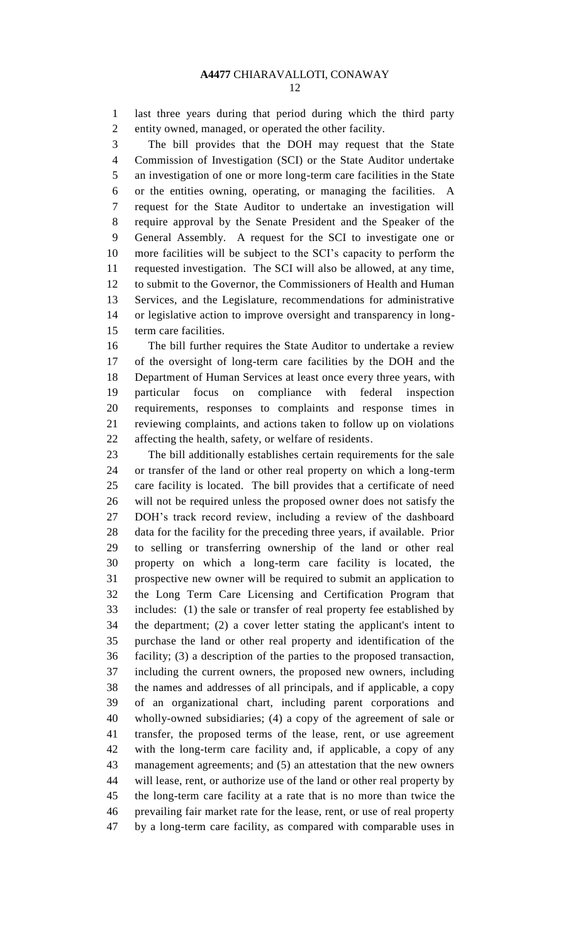last three years during that period during which the third party entity owned, managed, or operated the other facility.

 The bill provides that the DOH may request that the State Commission of Investigation (SCI) or the State Auditor undertake an investigation of one or more long-term care facilities in the State or the entities owning, operating, or managing the facilities. A request for the State Auditor to undertake an investigation will require approval by the Senate President and the Speaker of the General Assembly. A request for the SCI to investigate one or more facilities will be subject to the SCI's capacity to perform the requested investigation. The SCI will also be allowed, at any time, to submit to the Governor, the Commissioners of Health and Human Services, and the Legislature, recommendations for administrative or legislative action to improve oversight and transparency in long-term care facilities.

 The bill further requires the State Auditor to undertake a review of the oversight of long-term care facilities by the DOH and the Department of Human Services at least once every three years, with particular focus on compliance with federal inspection requirements, responses to complaints and response times in reviewing complaints, and actions taken to follow up on violations affecting the health, safety, or welfare of residents.

 The bill additionally establishes certain requirements for the sale or transfer of the land or other real property on which a long-term care facility is located. The bill provides that a certificate of need will not be required unless the proposed owner does not satisfy the DOH's track record review, including a review of the dashboard data for the facility for the preceding three years, if available. Prior to selling or transferring ownership of the land or other real property on which a long-term care facility is located, the prospective new owner will be required to submit an application to the Long Term Care Licensing and Certification Program that includes: (1) the sale or transfer of real property fee established by the department; (2) a cover letter stating the applicant's intent to purchase the land or other real property and identification of the facility; (3) a description of the parties to the proposed transaction, including the current owners, the proposed new owners, including the names and addresses of all principals, and if applicable, a copy of an organizational chart, including parent corporations and wholly-owned subsidiaries; (4) a copy of the agreement of sale or transfer, the proposed terms of the lease, rent, or use agreement with the long-term care facility and, if applicable, a copy of any management agreements; and (5) an attestation that the new owners will lease, rent, or authorize use of the land or other real property by the long-term care facility at a rate that is no more than twice the prevailing fair market rate for the lease, rent, or use of real property by a long-term care facility, as compared with comparable uses in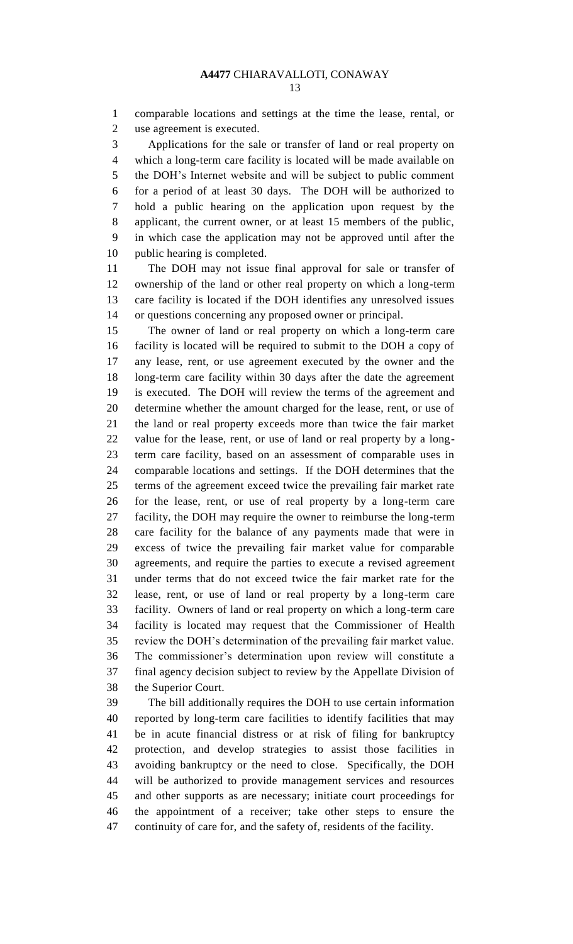comparable locations and settings at the time the lease, rental, or use agreement is executed.

 Applications for the sale or transfer of land or real property on which a long-term care facility is located will be made available on the DOH's Internet website and will be subject to public comment for a period of at least 30 days. The DOH will be authorized to hold a public hearing on the application upon request by the applicant, the current owner, or at least 15 members of the public, in which case the application may not be approved until after the public hearing is completed.

 The DOH may not issue final approval for sale or transfer of ownership of the land or other real property on which a long-term care facility is located if the DOH identifies any unresolved issues or questions concerning any proposed owner or principal.

 The owner of land or real property on which a long-term care facility is located will be required to submit to the DOH a copy of any lease, rent, or use agreement executed by the owner and the long-term care facility within 30 days after the date the agreement is executed. The DOH will review the terms of the agreement and determine whether the amount charged for the lease, rent, or use of the land or real property exceeds more than twice the fair market value for the lease, rent, or use of land or real property by a long- term care facility, based on an assessment of comparable uses in comparable locations and settings. If the DOH determines that the terms of the agreement exceed twice the prevailing fair market rate for the lease, rent, or use of real property by a long-term care facility, the DOH may require the owner to reimburse the long-term care facility for the balance of any payments made that were in excess of twice the prevailing fair market value for comparable agreements, and require the parties to execute a revised agreement under terms that do not exceed twice the fair market rate for the lease, rent, or use of land or real property by a long-term care facility. Owners of land or real property on which a long-term care facility is located may request that the Commissioner of Health review the DOH's determination of the prevailing fair market value. The commissioner's determination upon review will constitute a final agency decision subject to review by the Appellate Division of the Superior Court.

 The bill additionally requires the DOH to use certain information reported by long-term care facilities to identify facilities that may be in acute financial distress or at risk of filing for bankruptcy protection, and develop strategies to assist those facilities in avoiding bankruptcy or the need to close. Specifically, the DOH will be authorized to provide management services and resources and other supports as are necessary; initiate court proceedings for the appointment of a receiver; take other steps to ensure the continuity of care for, and the safety of, residents of the facility.